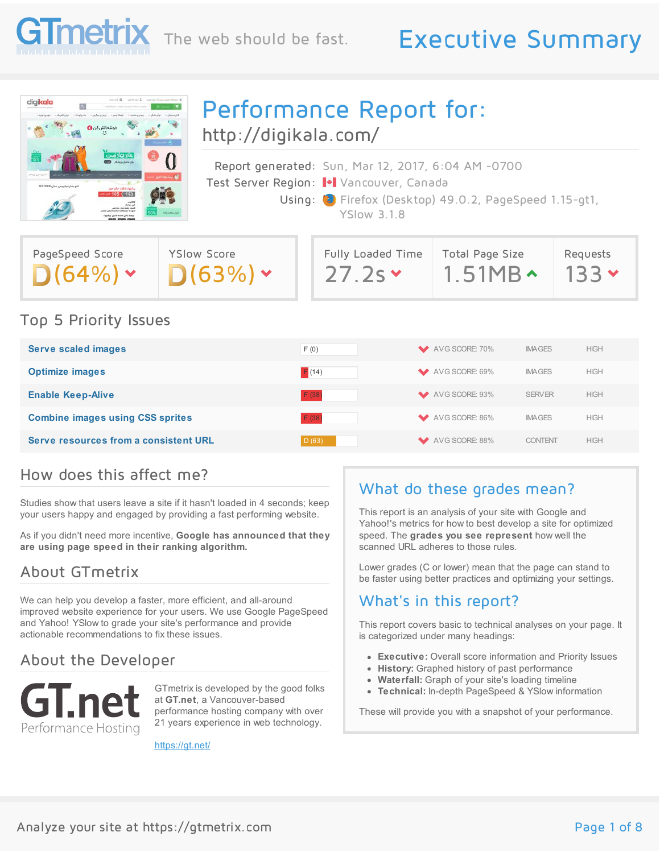

## The web should be fast. Executive Summary



Performance Report for: <http://digikala.com/>

Report generated: Sun, Mar 12, 2017, 6:04 AM -0700 Test Server Region: + Vancouver, Canada Using: **C** Firefox (Desktop) 49.0.2, PageSpeed 1.15-gt1, YSlow 3.1.8

| PageSpeed Score | YSlow Score |
|-----------------|-------------|
| $D(64%) \cdot$  | D(63%)      |

| Fully Loaded Time | Total Page Size | Requests     |
|-------------------|-----------------|--------------|
| 27.2s             | $1.51MB \sim$   | $\sqrt{133}$ |

#### Top 5 Priority Issues

| <b>Serve scaled images</b>              | F(0)  | AVG SCORE: 70%              | <b>IMAGES</b> | <b>HIGH</b> |
|-----------------------------------------|-------|-----------------------------|---------------|-------------|
| <b>Optimize images</b>                  | F(14) | AVG SCORE: 69%<br>$\bullet$ | <b>IMAGES</b> | <b>HIGH</b> |
| <b>Enable Keep-Alive</b>                | F (38 | AVG SCORE: 93%              | <b>SERVER</b> | <b>HIGH</b> |
| <b>Combine images using CSS sprites</b> | F(38) | AVG SCORE: 86%<br>$\bullet$ | <b>IMAGES</b> | <b>HIGH</b> |
| Serve resources from a consistent URL   | D(63) | AVG SCORE: 88%              | CONTENT       | <b>HIGH</b> |

#### How does this affect me?

Studies show that users leave a site if it hasn't loaded in 4 seconds; keep your users happy and engaged by providing a fast performing website.

As if you didn't need more incentive, **Google has announced that they are using page speed in their ranking algorithm.**

### About GTmetrix

We can help you develop a faster, more efficient, and all-around improved website experience for your users. We use Google PageSpeed and Yahoo! YSlow to grade your site's performance and provide actionable recommendations to fix these issues.

#### About the Developer



GTmetrix is developed by the good folks at **GT.net**, a Vancouver-based performance hosting company with over 21 years experience in web technology.

<https://gt.net/>

### What do these grades mean?

This report is an analysis of your site with Google and Yahoo!'s metrics for how to best develop a site for optimized speed. The **grades you see represent** how well the scanned URL adheres to those rules.

Lower grades (C or lower) mean that the page can stand to be faster using better practices and optimizing your settings.

#### What's in this report?

This report covers basic to technical analyses on your page. It is categorized under many headings:

- **Executive:** Overall score information and Priority Issues
- **History:** Graphed history of past performance
- **Waterfall:** Graph of your site's loading timeline
- **Technical:** In-depth PageSpeed & YSlow information

These will provide you with a snapshot of your performance.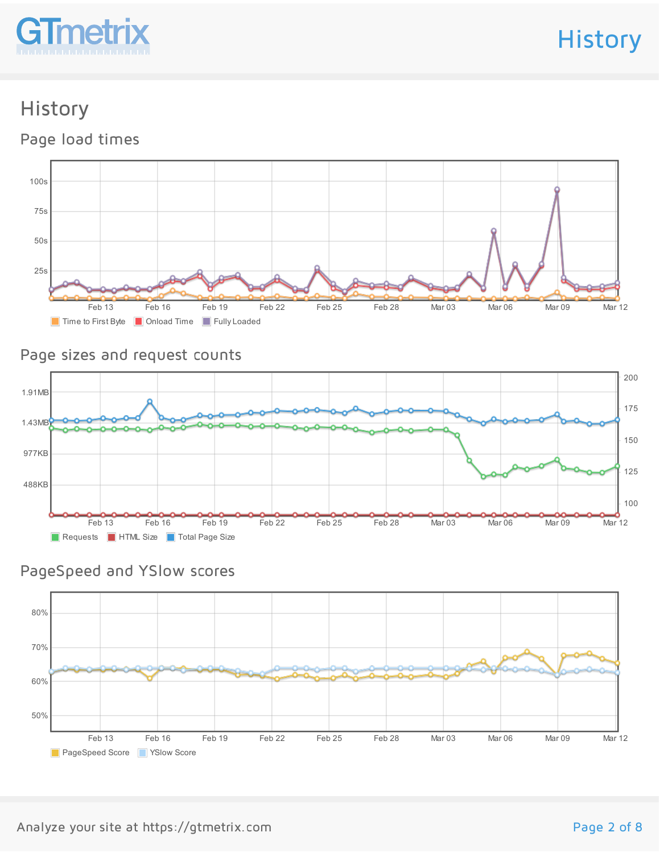

**History** 

### History

Page load times



#### Page sizes and request counts



### PageSpeed and YSlow scores

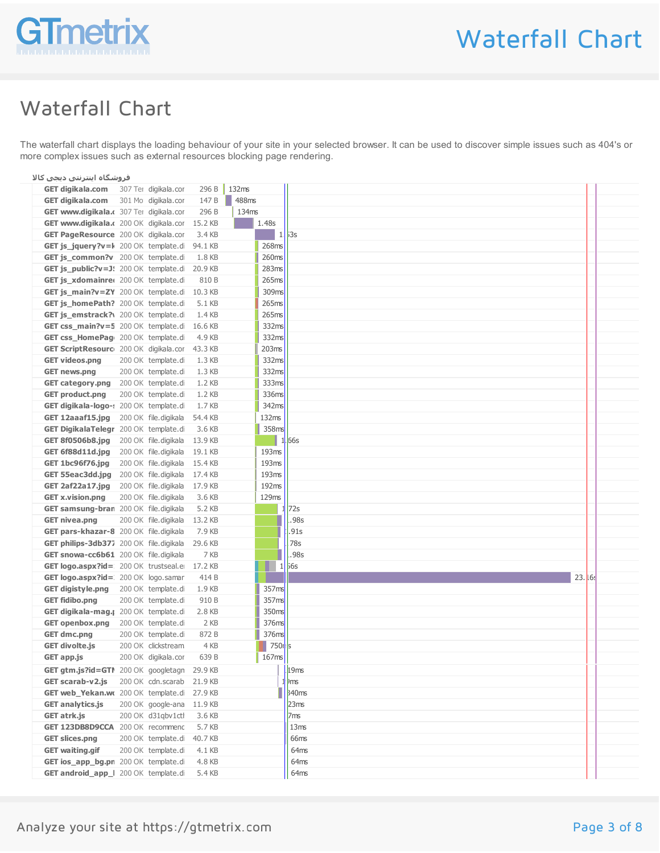

# Waterfall Chart

## Waterfall Chart

The waterfall chart displays the loading behaviour of your site in your selected browser. It can be used to discover simple issues such as 404's or more complex issues such as external resources blocking page rendering.

| فروشگاه اینترنتی دیجی کالا                                      |                                                           |  |
|-----------------------------------------------------------------|-----------------------------------------------------------|--|
| GET digikala.com 307 Ter digikala.cor 296 B 132ms               |                                                           |  |
| GET digikala.com 301 Mo digikala.cor 147 B 488ms                |                                                           |  |
| GET www.digikala.c 307 Ter digikala.cor 296 B<br>134ms          |                                                           |  |
| $\vert$ 1.48s<br>GET www.digikala.c 200 OK digikala.cor 15.2 KB |                                                           |  |
| GET PageResource 200 OK digikala.cor 3.4 KB                     | $\begin{array}{ c c c c }\n\hline\n1 & 3s\n\end{array}$   |  |
| 268ms<br>GET js_jquery?v=k 200 OK template.di 94.1 KB           |                                                           |  |
| 260ms<br>GET js_common?v 200 OK template.di 1.8 KB              |                                                           |  |
| GET js_public?v=J! 200 OK template.di 20.9 KB                   | 283ms                                                     |  |
| GET js_xdomainred 200 OK template.di 810 B                      | 265 <sub>ms</sub>                                         |  |
| GET js_main?v=ZY 200 OK template.di 10.3 KB                     | 309ms                                                     |  |
| 265ms<br>GET js_homePath? 200 OK template.di 5.1 KB             |                                                           |  |
| GET js_emstrack?\ 200 OK template.di 1.4 KB                     | 265 <sub>ms</sub>                                         |  |
| GET css_main?v=5 200 OK template.di 16.6 KB                     | 332ms                                                     |  |
| GET css_HomePag 200 OK template.di 4.9 KB                       | 332 <sub>ms</sub>                                         |  |
| 203ms<br>GET ScriptResourc 200 OK digikala.cor 43.3 KB          |                                                           |  |
| GET videos.png 200 OK template.di 1.3 KB                        | 332ms                                                     |  |
| GET news.png 200 OK template.di 1.3 KB                          | 332 <sub>ms</sub>                                         |  |
| GET category.png 200 OK template.di 1.2 KB                      | 333ms                                                     |  |
| GET product.png 200 OK template.di 1.2 KB                       | 336ms                                                     |  |
| GET digikala-logo-: 200 OK template.di 1.7 KB                   | 342ms                                                     |  |
| GET 12aaaf15.jpg 200 OK file.digikala 54.4 KB<br>132ms          |                                                           |  |
| GET DigikalaTelegr 200 OK template.di 3.6 KB                    | 358ms                                                     |  |
| GET 8f0506b8.jpg 200 OK file.digikala 13.9 KB                   | $\blacksquare$ 1.66s                                      |  |
| 193ms<br>GET 6f88d11d.jpg 200 OK file.digikala 19.1 KB          |                                                           |  |
| GET 1bc96f76.jpg 200 OK file.digikala 15.4 KB<br>193ms          |                                                           |  |
| 193ms<br>GET 55eac3dd.jpg 200 OK file.digikala 17.4 KB          |                                                           |  |
| 192ms<br>GET 2af22a17.jpg 200 OK file.digikala 17.9 KB          |                                                           |  |
| 129ms<br>GET x.vision.png 200 OK file.digikala 3.6 KB           |                                                           |  |
| GET samsung-bran 200 OK file.digikala 5.2 KB                    | 1.72s                                                     |  |
| GET nivea.png 200 OK file.digikala 13.2 KB                      | .98s                                                      |  |
| GET pars-khazar-8 200 OK file.digikala 7.9 KB                   | 1.91s                                                     |  |
| GET philips-3db377 200 OK file.digikala 29.6 KB                 | .78s                                                      |  |
| GET snowa-cc6b61 200 OK file.digikala 7 KB                      | 98s                                                       |  |
| GET logo.aspx?id= 200 OK trustseal.e 17.2 KB                    | $\begin{array}{ c c c } \hline \quad 1 & 56s \end{array}$ |  |
| GET logo.aspx?id= 200 OK logo.samar 414 B                       | T H                                                       |  |
| GET digistyle.png 200 OK template.di 1.9 KB                     | 357 <sub>ms</sub>                                         |  |
| GET fidibo.png 200 OK template.di 910 B                         | 357 <sub>ms</sub>                                         |  |
| GET digikala-mag. [ 200 OK template.di 2.8 KB                   | 350 <sub>ms</sub>                                         |  |
| GET openbox.png 200 OK template.di 2 KB                         | 376ms                                                     |  |
| 200 OK template.di 872 B<br><b>GET dmc.png</b>                  | 376 <sub>ms</sub>                                         |  |
| <b>GET divolte.js</b><br>200 OK clickstream 4 KB                | $\blacksquare$ 750 $\blacksquare$                         |  |
| <b>GET app.js</b> 200 OK digikala.cor 639 B<br>$ 167$ ms        |                                                           |  |
| GET gtm.js?id=GTI 200 OK googletagn 29.9 KB                     | 19ms                                                      |  |
| GET scarab-v2.js 200 OK cdn.scarab 21.9 KB                      | 1 Ims                                                     |  |
| GET web_Yekan.wo 200 OK template.di 27.9 KB                     | $\frac{1}{3}$ 340ms                                       |  |
| GET analytics.js 200 OK google-ana 11.9 KB                      | 23ms                                                      |  |
| GET atrk.js 200 OK d31qbv1ctl 3.6 KB                            | 7 <sub>ms</sub>                                           |  |
| GET 123DB8D9CCA 200 OK recommend 5.7 KB                         | $\parallel$ 13ms                                          |  |
| GET slices.png 200 OK template.di 40.7 KB                       | 66ms                                                      |  |
| GET waiting.gif 200 OK template.di 4.1 KB                       | 64ms                                                      |  |
| GET ios_app_bg.pn 200 OK template.di 4.8 KB                     | 64ms                                                      |  |
| GET android_app_I 200 OK template.di 5.4 KB                     | 64ms                                                      |  |
|                                                                 |                                                           |  |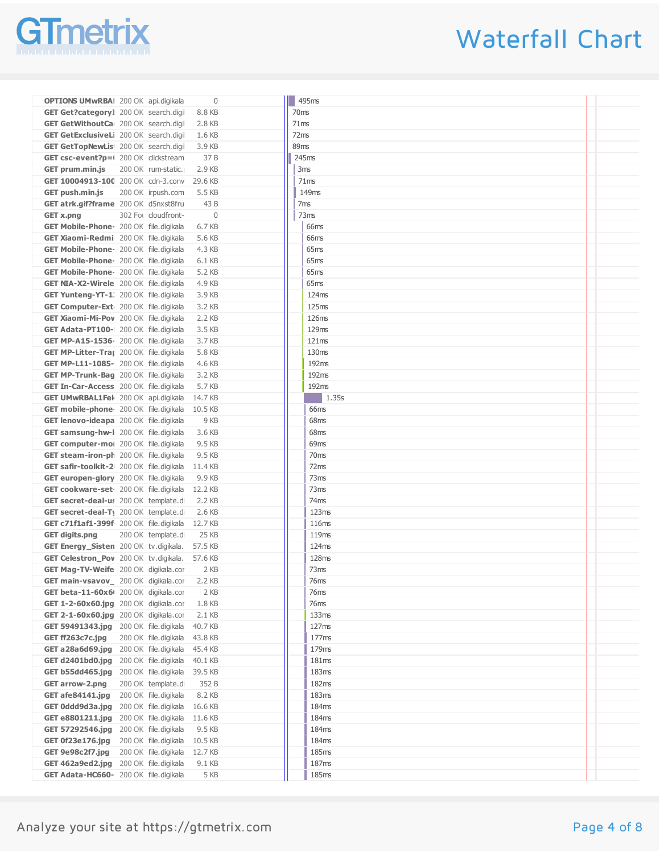

# Waterfall Chart

| <b>OPTIONS UMwRBAI</b> 200 OK api.digikala<br>$\overline{0}$                                   | $\vert$ 495ms              |  |
|------------------------------------------------------------------------------------------------|----------------------------|--|
| GET Get?category1 200 OK search.digil 8.8 KB                                                   | 70ms                       |  |
| <b>GET GetWithoutCa</b> 200 OK search.digi 2.8 KB                                              | 71ms                       |  |
| <b>GET GetExclusiveLi</b> 200 OK search.digi 1.6 KB                                            | 72ms                       |  |
| <b>GET GetTopNewLis</b> 200 OK search.digil 3.9 KB                                             | 89ms                       |  |
| GET csc-event?p=1 200 OK clickstream 37 B                                                      | 245ms                      |  |
| GET prum.min.js 200 OK rum-static. 2.9 KB                                                      | 3ms                        |  |
| GET 10004913-100 200 OK cdn-3.conv 29.6 KB                                                     | 71ms                       |  |
| <b>GET push.min.js</b> 200 OK irpush.com 5.5 KB                                                | 149ms                      |  |
| GET atrk.gif?frame 200 OK d5nxst8fru 43 B                                                      | 7ms                        |  |
| 302 Fot cloudfront-<br>$\overline{0}$<br>GET x.png                                             | 73ms                       |  |
| GET Mobile-Phone- 200 OK file.digikala 6.7 KB                                                  | 66ms                       |  |
| GET Xiaomi-Redmi 200 OK file.digikala 5.6 KB                                                   | 66ms                       |  |
| <b>GET Mobile-Phone</b> 200 OK file.digikala 4.3 KB                                            | 65ms                       |  |
| GET Mobile-Phone- 200 OK file.digikala 6.1 KB                                                  | 65ms                       |  |
| <b>GET Mobile-Phone</b> 200 OK file.digikala 5.2 KB                                            | 65ms                       |  |
| <b>GET NIA-X2-Wirele</b> 200 OK file.digikala 4.9 KB                                           | 65ms                       |  |
|                                                                                                |                            |  |
| GET Yunteng-YT-1: 200 OK file.digikala 3.9 KB<br>GET Computer-Ext 200 OK file.digikala 3.2 KB  | 124ms<br>125 <sub>ms</sub> |  |
|                                                                                                | 126ms                      |  |
| GET Xiaomi-Mi-Pov 200 OK file.digikala 2.2 KB                                                  | 129ms                      |  |
| GET Adata-PT100-1 200 OK file.digikala 3.5 KB                                                  | 121ms                      |  |
| <b>GET MP-A15-1536-</b> 200 OK file.digikala 3.7 KB                                            | 130ms                      |  |
| GET MP-Litter-Traj 200 OK file.digikala 5.8 KB                                                 | 192ms                      |  |
| GET MP-L11-1085- 200 OK file.digikala 4.6 KB                                                   | 192ms                      |  |
| GET MP-Trunk-Bag 200 OK file.digikala 3.2 KB                                                   |                            |  |
| GET In-Car-Access 200 OK file.digikala 5.7 KB<br>GET UMwRBAL1Fek 200 OK api.digikala 14.7 KB   | 192ms<br>$\boxed{1.35s}$   |  |
|                                                                                                | 66ms                       |  |
| GET mobile-phone 200 OK file.digikala 10.5 KB                                                  | 68ms                       |  |
| GET lenovo-ideapa 200 OK file.digikala 9 KB                                                    |                            |  |
| <b>GET samsung-hw-I</b> 200 OK file.digikala 3.6 KB                                            | 68ms                       |  |
| <b>GET computer-mo</b> 200 OK file.digikala 9.5 KB                                             | 69ms                       |  |
| GET steam-iron-ph 200 OK file.digikala 9.5 KB                                                  | 70ms                       |  |
| GET safir-toolkit-2 200 OK file.digikala 11.4 KB                                               | 72ms                       |  |
| GET europen-glory 200 OK file.digikala 9.9 KB                                                  | 73ms                       |  |
| GET cookware-set 200 OK file.digikala 12.2 KB                                                  | 73ms                       |  |
| GET secret-deal-us 200 OK template.di 2.2 KB                                                   | 74ms                       |  |
| GET secret-deal-T <sub>1</sub> 200 OK template.di 2.6 KB                                       | 123ms<br>116ms             |  |
| GET c71f1af1-399f 200 OK file.digikala 12.7 KB                                                 | 119ms                      |  |
| 200 OK template.di 25 KB<br>GET digits.png                                                     | 124ms                      |  |
| GET Energy_Sisten 200 OK tv.digikala. 57.5 KB<br>GET Celestron_Pov 200 OK tv.digikala. 57.6 KB | 128ms                      |  |
| GET Mag-TV-Weife 200 OK digikala.cor 2 KB                                                      | 73ms                       |  |
| GET main-vsavov_ 200 OK digikala.cor 2.2 KB                                                    |                            |  |
| GET beta-11-60x61 200 OK digikala.cor 2 KB                                                     | 76ms<br>76ms               |  |
| GET 1-2-60x60.jpg 200 OK digikala.cor 1.8 KB                                                   | 76ms                       |  |
| GET 2-1-60x60.jpg 200 OK digikala.cor 2.1 KB                                                   | 133ms                      |  |
| GET 59491343.jpg 200 OK file.digikala 40.7 KB                                                  | 127ms                      |  |
| GET ff263c7c.jpg 200 OK file.digikala 43.8 KB                                                  | 177 <sub>ms</sub>          |  |
| GET a 28a6d69.jpg 200 OK file.digikala 45.4 KB                                                 | 179ms                      |  |
| GET d2401bd0.jpg 200 OK file.digikala 40.1 KB                                                  | 181ms                      |  |
| GET b55dd465.jpg 200 OK file.digikala 39.5 KB                                                  | 183 <sub>ms</sub>          |  |
| GET arrow-2.png 200 OK template.di 352 B                                                       | 182ms                      |  |
| GET afe84141.jpg 200 OK file.digikala 8.2 KB                                                   | 183 <sub>ms</sub>          |  |
| GET Oddd9d3a.jpg 200 OK file.digikala 16.6 KB                                                  | 184ms                      |  |
| GET e8801211.jpg 200 OK file.digikala 11.6 KB                                                  | 184ms                      |  |
| GET 57292546.jpg 200 OK file.digikala 9.5 KB                                                   | 184ms                      |  |
| GET 0f23e176.jpg 200 OK file.digikala 10.5 KB                                                  | 184ms                      |  |
| GET 9e98c2f7.jpg 200 OK file.digikala 12.7 KB                                                  | 185ms                      |  |
| GET 462a9ed2.jpg 200 OK file.digikala 9.1 KB                                                   | 187ms                      |  |
| GET Adata-HC660- 200 OK file.digikala 5 KB                                                     | 185 <sub>ms</sub>          |  |
|                                                                                                |                            |  |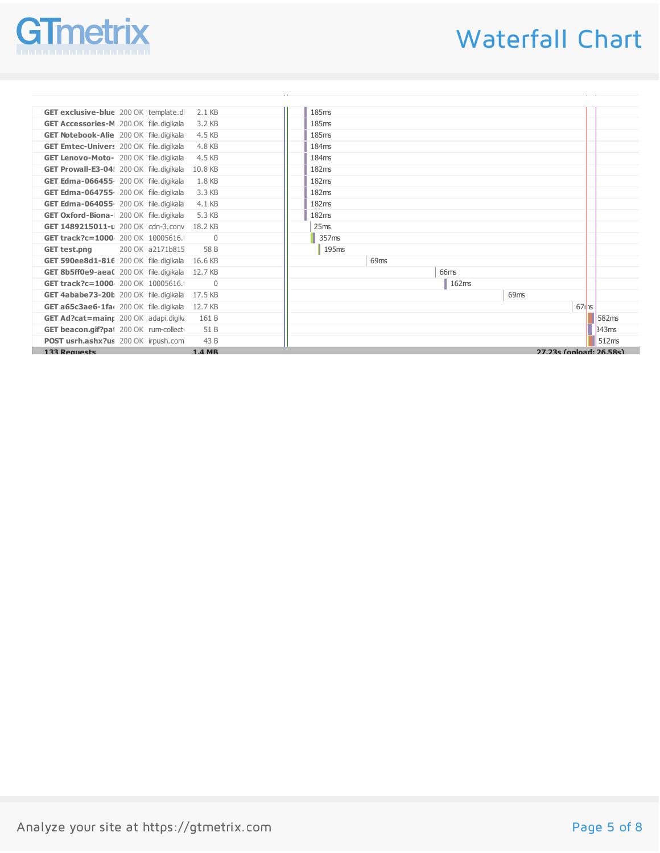

# Waterfall Chart

| GET exclusive-blue 200 OK template.di 2.1 KB    |                | 185ms             |                         |       |
|-------------------------------------------------|----------------|-------------------|-------------------------|-------|
| GET Accessories-M 200 OK file.digikala 3.2 KB   |                | 185ms             |                         |       |
| GET Notebook-Alie 200 OK file.digikala 4.5 KB   |                | 185ms             |                         |       |
| GET Emtec-Univers 200 OK file.digikala 4.8 KB   |                | 184ms             |                         |       |
| GET Lenovo-Moto- 200 OK file.digikala 4.5 KB    |                | 184ms             |                         |       |
| GET Prowall-E3-04! 200 OK file.digikala 10.8 KB |                | 182ms             |                         |       |
| GET Edma-066455 200 OK file.digikala            | 1.8 KB         | 182ms             |                         |       |
| GET Edma-064755 200 OK file.digikala 3.3 KB     |                | 182ms             |                         |       |
| GET Edma-064055 200 OK file.digikala 4.1 KB     |                | 182ms             |                         |       |
| GET Oxford-Biona-I 200 OK file.digikala 5.3 KB  |                | 182ms             |                         |       |
| GET 1489215011-u 200 OK cdn-3.conv 18.2 KB      |                | 25ms              |                         |       |
| GET track?c=1000 200 OK 10005616.               | $\overline{0}$ | 357 <sub>ms</sub> |                         |       |
| 200 OK a2171b815<br><b>GET test.png</b>         | 58 B           | 195ms             |                         |       |
| GET 590ee8d1-816 200 OK file.digikala 16.6 KB   |                | 69ms              |                         |       |
| GET 8b5ff0e9-aeaC 200 OK file.digikala 12.7 KB  |                | 66ms              |                         |       |
| GET track?c=1000 200 OK 10005616.               | $\overline{0}$ | 162ms             |                         |       |
| GET 4ababe73-20b 200 OK file.digikala 17.5 KB   |                |                   | 69ms                    |       |
| GET a65c3ae6-1fa(200 OK file.digikala 12.7 KB   |                |                   | $67$ $\text{rs}$        |       |
| GET Ad?cat=mainr 200 OK adapi.digika            | 161 B          |                   |                         | 582ms |
| GET beacon.gif?pat 200 OK rum-collect           | 51 B           |                   |                         | 343ms |
| POST usrh.ashx?us 200 OK irpush.com             | 43 B           |                   |                         | 512ms |
| <b>133 Requests</b>                             | <b>1.4 MR</b>  |                   | 27.23s (onload: 26.58s) |       |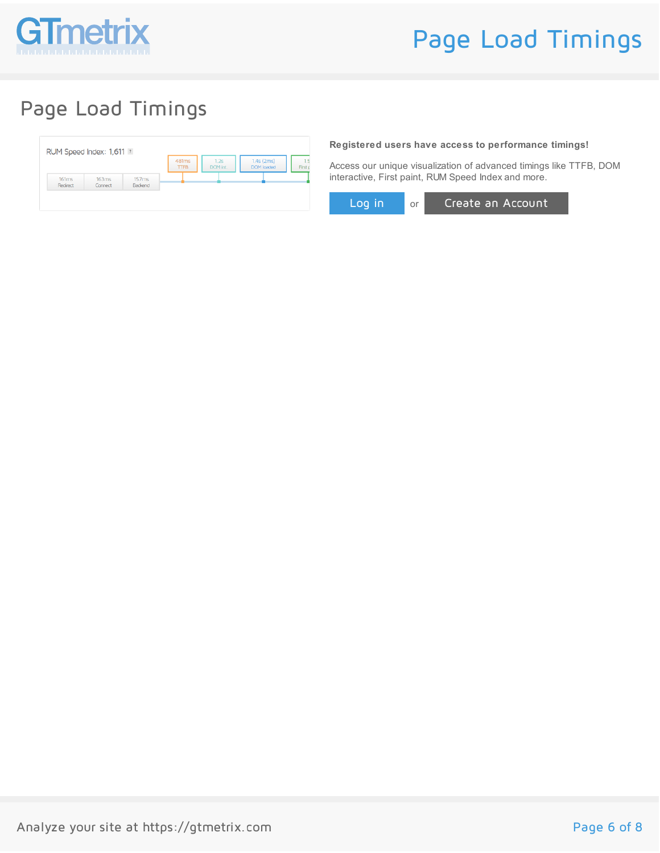

# Page Load Timings

## Page Load Timings

|                   |                  |                         | 481ms<br><b>TTFB</b> | 1.2s<br>DOM int. | $1.4s$ (2ms)<br><b>DOM</b> loaded | First o |
|-------------------|------------------|-------------------------|----------------------|------------------|-----------------------------------|---------|
| 161ms<br>Redirect | 163ms<br>Connect | 157ms<br><b>Backend</b> |                      |                  |                                   |         |

**Registered users have access to performance timings!**

Access our unique visualization of advanced timings like TTFB, DOM interactive, First paint, RUM Speed Index and more.

Log in or Create an Account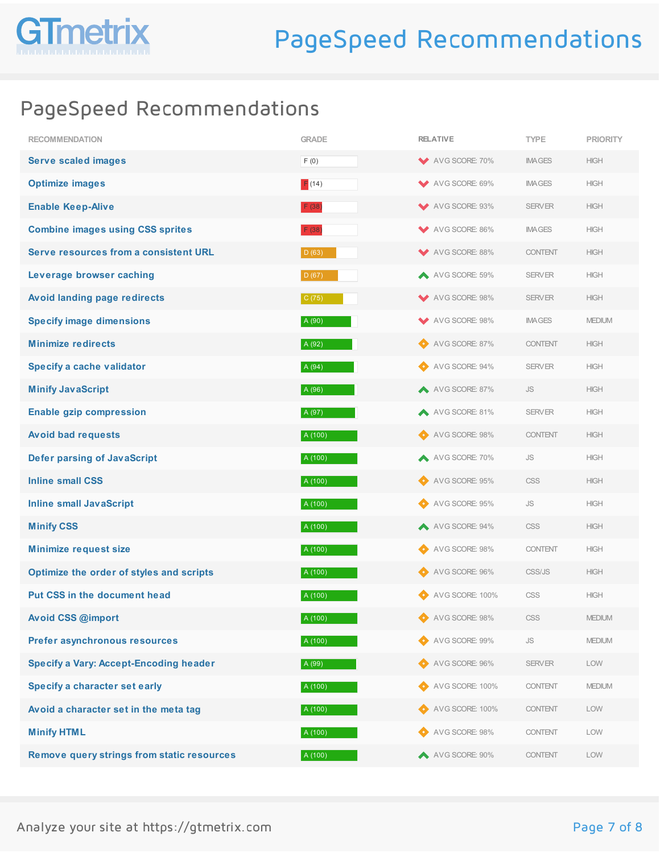

### PageSpeed Recommendations

| <b>RECOMMENDATION</b>                             | <b>GRADE</b> | <b>RELATIVE</b> | <b>TYPE</b>          | <b>PRIORITY</b> |
|---------------------------------------------------|--------------|-----------------|----------------------|-----------------|
| <b>Serve scaled images</b>                        | F(0)         | AVG SCORE: 70%  | <b>IMAGES</b>        | <b>HIGH</b>     |
| <b>Optimize images</b>                            | F(14)        | AVG SCORE: 69%  | <b>IMAGES</b>        | <b>HIGH</b>     |
| <b>Enable Keep-Alive</b>                          | F(38)        | AVG SCORE: 93%  | <b>SERVER</b>        | <b>HIGH</b>     |
| <b>Combine images using CSS sprites</b>           | F(38)        | AVG SCORE: 86%  | <b>IMAGES</b>        | <b>HIGH</b>     |
| Serve resources from a consistent URL             | D (63)       | AVG SCORE: 88%  | <b>CONTENT</b>       | <b>HIGH</b>     |
| Leverage browser caching                          | D (67)       | AVG SCORE: 59%  | <b>SERVER</b>        | <b>HIGH</b>     |
| Avoid landing page redirects                      | C(75)        | AVG SCORE: 98%  | <b>SERVER</b>        | <b>HIGH</b>     |
| <b>Specify image dimensions</b>                   | A (90)       | AVG SCORE: 98%  | <b>IMAGES</b>        | <b>MEDIUM</b>   |
| <b>Minimize redirects</b>                         | A (92)       | AVG SCORE: 87%  | <b>CONTENT</b>       | <b>HIGH</b>     |
| Specify a cache validator                         | A (94)       | AVG SCORE: 94%  | <b>SERVER</b>        | <b>HIGH</b>     |
| <b>Minify JavaScript</b>                          | A (96)       | AVG SCORE: 87%  | <b>JS</b>            | <b>HIGH</b>     |
| <b>Enable gzip compression</b>                    | A (97)       | AVG SCORE: 81%  | <b>SERVER</b>        | <b>HIGH</b>     |
| <b>Avoid bad requests</b>                         | A (100)      | AVG SCORE: 98%  | <b>CONTENT</b>       | <b>HIGH</b>     |
| <b>Defer parsing of JavaScript</b>                | A (100)      | A VG SCORE: 70% | <b>JS</b>            | <b>HIGH</b>     |
| <b>Inline small CSS</b>                           | A (100)      | AVG SCORE: 95%  | <b>CSS</b>           | <b>HIGH</b>     |
| <b>Inline small JavaScript</b>                    | A (100)      | AVG SCORE: 95%  | <b>JS</b>            | <b>HIGH</b>     |
| <b>Minify CSS</b>                                 | A (100)      | AVG SCORE: 94%  | CSS                  | <b>HIGH</b>     |
| <b>Minimize request size</b>                      | A (100)      | AVG SCORE: 98%  | <b>CONTENT</b>       | <b>HIGH</b>     |
| Optimize the order of styles and scripts          | A (100)      | AVG SCORE: 96%  | CSS/JS               | <b>HIGH</b>     |
| Put CSS in the document head                      | A (100)      | AVG SCORE: 100% | <b>CSS</b>           | <b>HIGH</b>     |
| <b>Avoid CSS @import</b>                          | A (100)      | AVG SCORE: 98%  | CSS                  | <b>MEDIUM</b>   |
| Prefer asynchronous resources                     | A (100)      | AVG SCORE: 99%  | $\mathsf{JS}\xspace$ | <b>MEDIUM</b>   |
| <b>Specify a Vary: Accept-Encoding header</b>     | A (99)       | AVG SCORE: 96%  | <b>SERVER</b>        | LOW             |
| Specify a character set early                     | A (100)      | AVG SCORE: 100% | <b>CONTENT</b>       | <b>MEDIUM</b>   |
| Avoid a character set in the meta tag             | A (100)      | AVG SCORE: 100% | <b>CONTENT</b>       | LOW             |
| <b>Minify HTML</b>                                | A (100)      | AVG SCORE: 98%  | <b>CONTENT</b>       | LOW             |
| <b>Remove query strings from static resources</b> | A (100)      | AVG SCORE: 90%  | <b>CONTENT</b>       | LOW             |